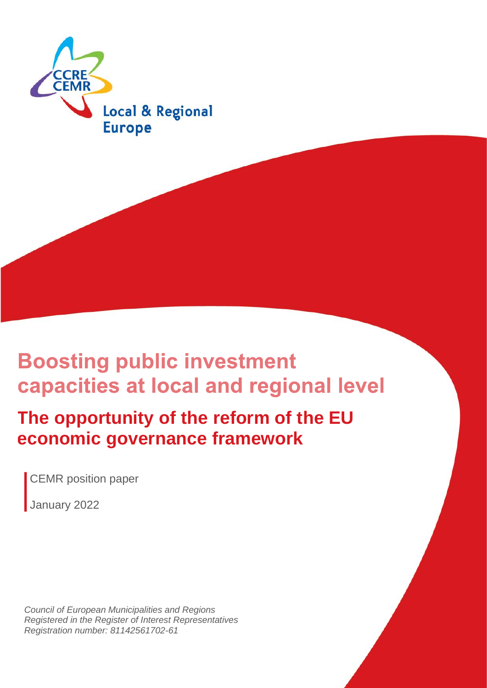

## **Boosting public investment** capacities at local and regional level

## **The opportunity of the reform of the EU economic governance framework**

CEMR position paper

January 2022

*Council of European Municipalities and Regions Registered in the Register of Interest Representatives Registration number: 81142561702-61*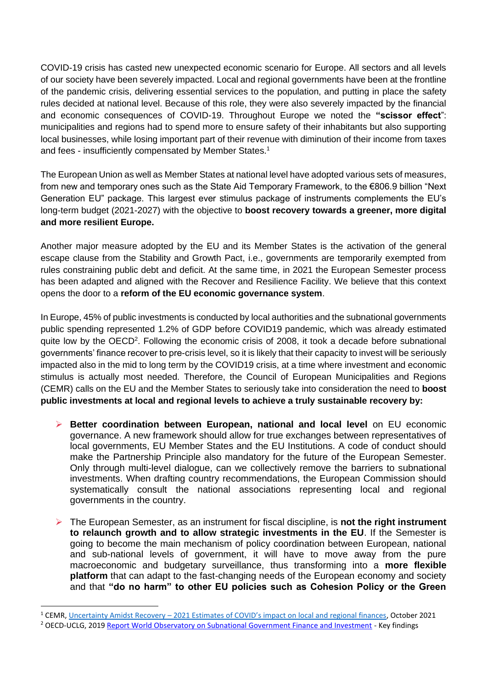COVID-19 crisis has casted new unexpected economic scenario for Europe. All sectors and all levels of our society have been severely impacted. Local and regional governments have been at the frontline of the pandemic crisis, delivering essential services to the population, and putting in place the safety rules decided at national level. Because of this role, they were also severely impacted by the financial and economic consequences of COVID-19. Throughout Europe we noted the **"scissor effect**": municipalities and regions had to spend more to ensure safety of their inhabitants but also supporting local businesses, while losing important part of their revenue with diminution of their income from taxes and fees - insufficiently compensated by Member States.<sup>1</sup>

The European Union as well as Member States at national level have adopted various sets of measures, from new and temporary ones such as the State Aid Temporary Framework, to the €806.9 billion "Next Generation EU" package. This largest ever stimulus package of instruments complements the EU's long-term budget (2021-2027) with the objective to **boost recovery towards a greener, more digital and more resilient Europe.**

Another major measure adopted by the EU and its Member States is the activation of the general escape clause from the Stability and Growth Pact, i.e., governments are temporarily exempted from rules constraining public debt and deficit. At the same time, in 2021 the European Semester process has been adapted and aligned with the Recover and Resilience Facility. We believe that this context opens the door to a **reform of the EU economic governance system**.

In Europe, 45% of public investments is conducted by local authorities and the subnational governments public spending represented 1.2% of GDP before COVID19 pandemic, which was already estimated quite low by the OECD<sup>2</sup>. Following the economic crisis of 2008, it took a decade before subnational governments' finance recover to pre-crisis level, so it is likely that their capacity to invest will be seriously impacted also in the mid to long term by the COVID19 crisis, at a time where investment and economic stimulus is actually most needed. Therefore, the Council of European Municipalities and Regions (CEMR) calls on the EU and the Member States to seriously take into consideration the need to **boost public investments at local and regional levels to achieve a truly sustainable recovery by:**

- ➢ **Better coordination between European, national and local level** on EU economic governance. A new framework should allow for true exchanges between representatives of local governments, EU Member States and the EU Institutions. A code of conduct should make the Partnership Principle also mandatory for the future of the European Semester. Only through multi-level dialogue, can we collectively remove the barriers to subnational investments. When drafting country recommendations, the European Commission should systematically consult the national associations representing local and regional governments in the country.
- ➢ The European Semester, as an instrument for fiscal discipline, is **not the right instrument to relaunch growth and to allow strategic investments in the EU**. If the Semester is going to become the main mechanism of policy coordination between European, national and sub-national levels of government, it will have to move away from the pure macroeconomic and budgetary surveillance, thus transforming into a **more flexible platform** that can adapt to the fast-changing needs of the European economy and society and that **"do no harm" to other EU policies such as Cohesion Policy or the Green**

<sup>1</sup> CEMR, Uncertainty Amidst Recovery – [2021 Estimates of COVID's impact on local and regional finances](https://www.ccre.org/img/uploads/piecesjointe/filename/211025_COVID19_impact_on_LRG_final.pdf), October 2021

<sup>&</sup>lt;sup>2</sup> OECD-UCLG, 2019 [Report World Observatory on Subnational Government Finance and Investment](https://www.sng-wofi.org/publications/2019_SNG-WOFI_REPORT_Key_Findings.pdf) - Key findings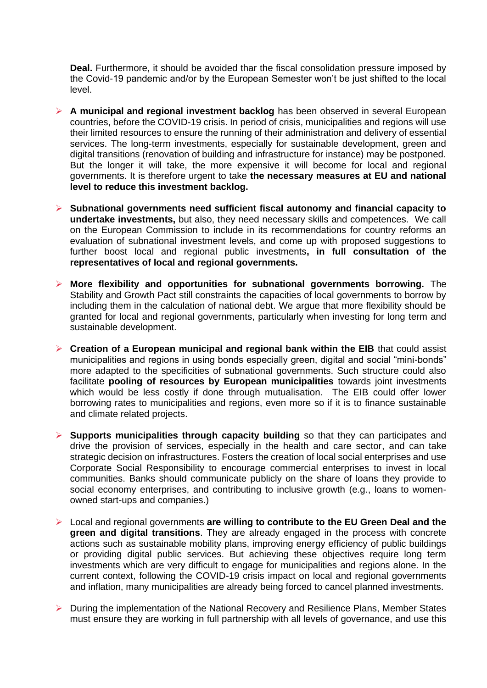**Deal.** Furthermore, it should be avoided thar the fiscal consolidation pressure imposed by the Covid-19 pandemic and/or by the European Semester won't be just shifted to the local level.

- ➢ **A municipal and regional investment backlog** has been observed in several European countries, before the COVID-19 crisis. In period of crisis, municipalities and regions will use their limited resources to ensure the running of their administration and delivery of essential services. The long-term investments, especially for sustainable development, green and digital transitions (renovation of building and infrastructure for instance) may be postponed. But the longer it will take, the more expensive it will become for local and regional governments. It is therefore urgent to take **the necessary measures at EU and national level to reduce this investment backlog.**
- ➢ **Subnational governments need sufficient fiscal autonomy and financial capacity to undertake investments,** but also, they need necessary skills and competences. We call on the European Commission to include in its recommendations for country reforms an evaluation of subnational investment levels, and come up with proposed suggestions to further boost local and regional public investments**, in full consultation of the representatives of local and regional governments.**
- ➢ **More flexibility and opportunities for subnational governments borrowing.** The Stability and Growth Pact still constraints the capacities of local governments to borrow by including them in the calculation of national debt. We argue that more flexibility should be granted for local and regional governments, particularly when investing for long term and sustainable development.
- ➢ **Creation of a European municipal and regional bank within the EIB** that could assist municipalities and regions in using bonds especially green, digital and social "mini-bonds" more adapted to the specificities of subnational governments. Such structure could also facilitate **pooling of resources by European municipalities** towards joint investments which would be less costly if done through mutualisation. The EIB could offer lower borrowing rates to municipalities and regions, even more so if it is to finance sustainable and climate related projects.
- ➢ **Supports municipalities through capacity building** so that they can participates and drive the provision of services, especially in the health and care sector, and can take strategic decision on infrastructures. Fosters the creation of local social enterprises and use Corporate Social Responsibility to encourage commercial enterprises to invest in local communities. Banks should communicate publicly on the share of loans they provide to social economy enterprises, and contributing to inclusive growth (e.g., loans to womenowned start-ups and companies.)
- ➢ Local and regional governments **are willing to contribute to the EU Green Deal and the green and digital transitions**. They are already engaged in the process with concrete actions such as sustainable mobility plans, improving energy efficiency of public buildings or providing digital public services. But achieving these objectives require long term investments which are very difficult to engage for municipalities and regions alone. In the current context, following the COVID-19 crisis impact on local and regional governments and inflation, many municipalities are already being forced to cancel planned investments.
- ➢ During the implementation of the National Recovery and Resilience Plans, Member States must ensure they are working in full partnership with all levels of governance, and use this